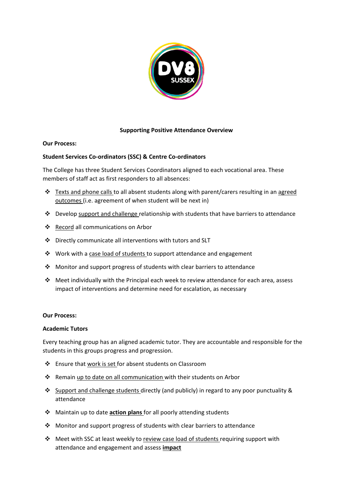

## **Supporting Positive Attendance Overview**

## **Our Process:**

## **Student Services Co-ordinators (SSC) & Centre Co-ordinators**

The College has three Student Services Coordinators aligned to each vocational area. These members of staff act as first responders to all absences:

- ❖ Texts and phone calls to all absent students along with parent/carers resulting in an agreed outcomes (i.e. agreement of when student will be next in)
- ❖ Develop support and challenge relationship with students that have barriers to attendance
- ❖ Record all communications on Arbor
- ❖ Directly communicate all interventions with tutors and SLT
- ❖ Work with a case load of students to support attendance and engagement
- ❖ Monitor and support progress of students with clear barriers to attendance
- ◆ Meet individually with the Principal each week to review attendance for each area, assess impact of interventions and determine need for escalation, as necessary

#### **Our Process:**

## **Academic Tutors**

Every teaching group has an aligned academic tutor. They are accountable and responsible for the students in this groups progress and progression.

- ❖ Ensure that work is set for absent students on Classroom
- ❖ Remain up to date on all communication with their students on Arbor
- ❖ Support and challenge students directly (and publicly) in regard to any poor punctuality & attendance
- ❖ Maintain up to date **action plans** for all poorly attending students
- ❖ Monitor and support progress of students with clear barriers to attendance
- ❖ Meet with SSC at least weekly to review case load of students requiring support with attendance and engagement and assess **impact**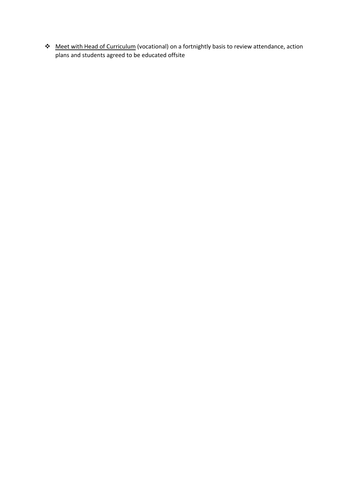❖ Meet with Head of Curriculum (vocational) on a fortnightly basis to review attendance, action plans and students agreed to be educated offsite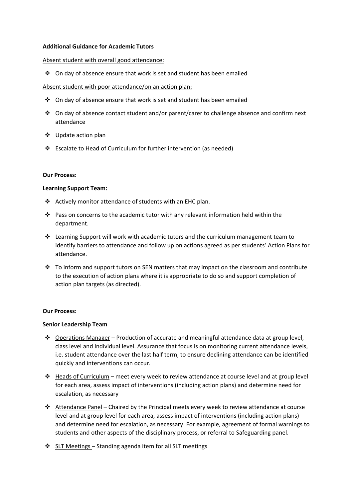### **Additional Guidance for Academic Tutors**

### Absent student with overall good attendance:

❖ On day of absence ensure that work is set and student has been emailed

## Absent student with poor attendance/on an action plan:

- ❖ On day of absence ensure that work is set and student has been emailed
- ❖ On day of absence contact student and/or parent/carer to challenge absence and confirm next attendance
- ❖ Update action plan
- ❖ Escalate to Head of Curriculum for further intervention (as needed)

#### **Our Process:**

#### **Learning Support Team:**

- ❖ Actively monitor attendance of students with an EHC plan.
- ❖ Pass on concerns to the academic tutor with any relevant information held within the department.
- ❖ Learning Support will work with academic tutors and the curriculum management team to identify barriers to attendance and follow up on actions agreed as per students' Action Plans for attendance.
- $\div$  To inform and support tutors on SEN matters that may impact on the classroom and contribute to the execution of action plans where it is appropriate to do so and support completion of action plan targets (as directed).

## **Our Process:**

## **Senior Leadership Team**

- ❖ Operations Manager Production of accurate and meaningful attendance data at group level, class level and individual level. Assurance that focus is on monitoring current attendance levels, i.e. student attendance over the last half term, to ensure declining attendance can be identified quickly and interventions can occur.
- $\dots$  Heads of Curriculum meet every week to review attendance at course level and at group level for each area, assess impact of interventions (including action plans) and determine need for escalation, as necessary
- ❖ Attendance Panel Chaired by the Principal meets every week to review attendance at course level and at group level for each area, assess impact of interventions (including action plans) and determine need for escalation, as necessary. For example, agreement of formal warnings to students and other aspects of the disciplinary process, or referral to Safeguarding panel.
- ❖ SLT Meetings Standing agenda item for all SLT meetings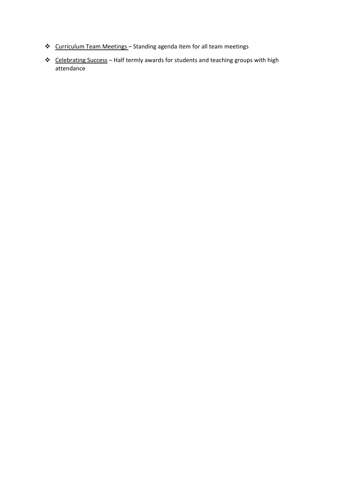- ❖ Curriculum Team Meetings Standing agenda item for all team meetings
- ❖ Celebrating Success Half termly awards for students and teaching groups with high attendance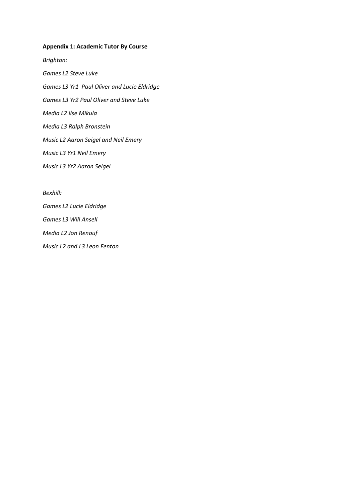# **Appendix 1: Academic Tutor By Course**

*Brighton: Games L2 Steve Luke Games L3 Yr1 Paul Oliver and Lucie Eldridge Games L3 Yr2 Paul Oliver and Steve Luke Media L2 Ilse Mikula Media L3 Ralph Bronstein Music L2 Aaron Seigel and Neil Emery Music L3 Yr1 Neil Emery Music L3 Yr2 Aaron Seigel*

*Bexhill:*

*Games L2 Lucie Eldridge Games L3 Will Ansell Media L2 Jon Renouf Music L2 and L3 Leon Fenton*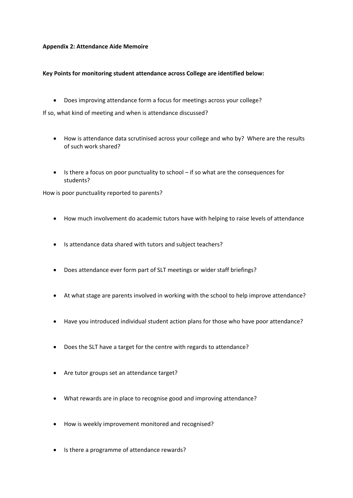## **Appendix 2: Attendance Aide Memoire**

## **Key Points for monitoring student attendance across College are identified below:**

• Does improving attendance form a focus for meetings across your college?

If so, what kind of meeting and when is attendance discussed?

- How is attendance data scrutinised across your college and who by? Where are the results of such work shared?
- Is there a focus on poor punctuality to school if so what are the consequences for students?

How is poor punctuality reported to parents?

- How much involvement do academic tutors have with helping to raise levels of attendance
- Is attendance data shared with tutors and subject teachers?
- Does attendance ever form part of SLT meetings or wider staff briefings?
- At what stage are parents involved in working with the school to help improve attendance?
- Have you introduced individual student action plans for those who have poor attendance?
- Does the SLT have a target for the centre with regards to attendance?
- Are tutor groups set an attendance target?
- What rewards are in place to recognise good and improving attendance?
- How is weekly improvement monitored and recognised?
- Is there a programme of attendance rewards?